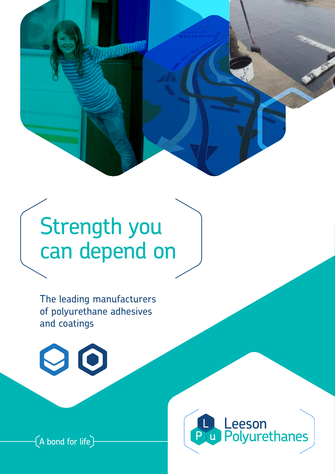

# Strength you can depend on

The leading manufacturers of polyurethane adhesives and coatings





 $\bigl($  A bond for life $\bigr)$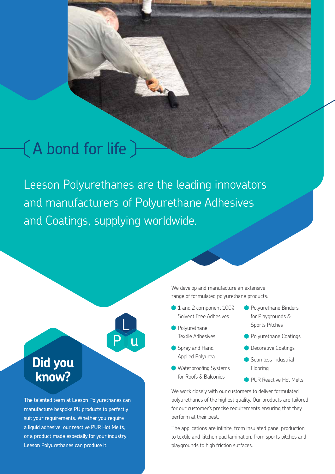## A bond for life

Leeson Polyurethanes are the leading innovators and manufacturers of Polyurethane Adhesives and Coatings, supplying worldwide.



manufacture bespoke PU products to perfectly suit your requirements. Whether you require a liquid adhesive, our reactive PUR Hot Melts, or a product made especially for your industry: Leeson Polyurethanes can produce it.

We develop and manufacture an extensive range of formulated polyurethane products:

- <sup>1</sup> 1 and 2 component 100% Solvent Free Adhesives
- **Polyurethane** Textile Adhesives
- Spray and Hand Applied Polyurea
- Waterproofing Systems for Roofs & Balconies
- **Polyurethane Binders** for Playgrounds & Sports Pitches
- **Polyurethane Coatings**
- **Decorative Coatings**
- Seamless Industrial Flooring
- **PUR Reactive Hot Melts**

We work closely with our customers to deliver formulated polyurethanes of the highest quality. Our products are tailored for our customer's precise requirements ensuring that they perform at their best.

The applications are infinite, from insulated panel production to textile and kitchen pad lamination, from sports pitches and playgrounds to high friction surfaces.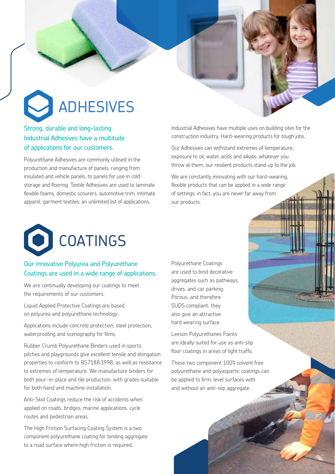# ADHESIVES

#### Strong, durable and long-lasting Industrial Adhesives have a multitude of applications for our customers.

Polyurethane Adhesives are commonly utilised in the production and manufacture of panels; ranging from insulated and vehicle panels, to panels for use in cold storage and flooring. Textile Adhesives are used to laminate flexible foams, domestic scourers, automotive trim, intimate apparel, garment textiles; an unlimited list of applications.

Industrial Adhesives have multiple uses on building sites for the construction industry. Hard-wearing products for tough jobs.

Our Adhesives can withstand extremes of temperature, exposure to oil, water, acids and alkalis: whatever you throw at them, our resilient products stand up to the job.

We are constantly innovating with our hard-wearing, flexible products that can be applied in a wide range of settings; in fact, you are never far away from our products.



#### Our innovative Polyurea and Polyurethane Coatings are used in a wide range of applications.

We are continually developing our coatings to meet the requirements of our customers.

Liquid Applied Protective Coatings are based on polyurea and polyurethane technology.

Applications include concrete protection, steel protection, waterproofing and scenography for films.

Rubber Crumb Polyurethane Binders used in sports pitches and playgrounds give excellent tensile and elongation properties to conform to BS7188:1998; as well as resistance to extremes of temperature. We manufacture binders for both pour-in-place and tile production, with grades suitable for both hand and machine installation.

Anti-Skid Coatings reduce the risk of accidents when applied on roads, bridges, marine applications, cycle routes and pedestrian areas.

The High Friction Surfacing Coating System is a two component polyurethane coating for binding aggregate to a road surface where high friction is required.

Polyurethane Coatings are used to bind decorative aggregates such as pathways, drives, and car parking. Porous, and therefore SUDS compliant, they also give an attractive hard wearing surface.

Leeson Polyurethanes Paints are ideally suited for use as anti-slip floor coatings in areas of light traffic.

These two component 100% solvent free polyurethane and polyaspartic coatings can be applied to firm, level surfaces with and without an anti-slip aggregate.